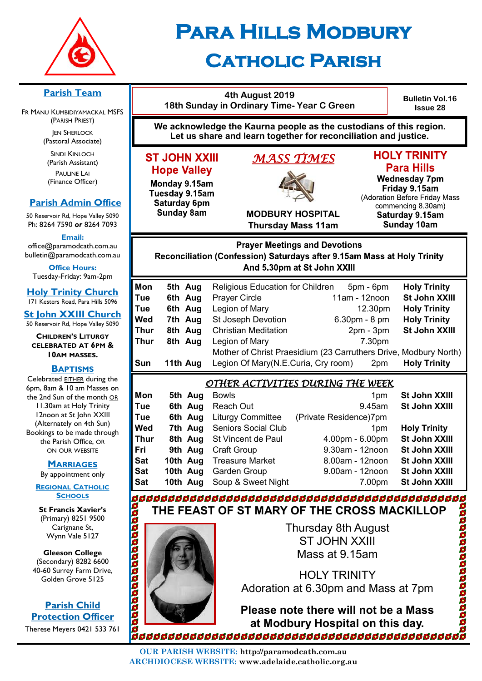

# **Para Hills Modbury Catholic Parish**

|                     |                                   |                                                                                                                                       | 4th August 2019<br>18th Sunday in Ordinary Time- Year C Green |                       | <b>Bulletin Vol.16</b><br><b>Issue 28</b>                                                    |  |
|---------------------|-----------------------------------|---------------------------------------------------------------------------------------------------------------------------------------|---------------------------------------------------------------|-----------------------|----------------------------------------------------------------------------------------------|--|
|                     |                                   | We acknowledge the Kaurna people as the custodians of this region.<br>Let us share and learn together for reconciliation and justice. |                                                               |                       |                                                                                              |  |
|                     | <b>ST JOHN XXIII</b>              |                                                                                                                                       | <u>MASS TIMES</u>                                             |                       | <b>HOLY TRINITY</b>                                                                          |  |
| <b>Hope Valley</b>  |                                   |                                                                                                                                       |                                                               |                       | <b>Para Hills</b>                                                                            |  |
|                     | Monday 9.15am                     |                                                                                                                                       | <b>MODBURY HOSPITAL</b>                                       |                       | <b>Wednesday 7pm</b><br>Friday 9.15am<br>(Adoration Before Friday Mass<br>commencing 8.30am) |  |
|                     | Tuesday 9.15am                    |                                                                                                                                       |                                                               |                       |                                                                                              |  |
|                     | Saturday 6pm<br><b>Sunday 8am</b> |                                                                                                                                       |                                                               |                       |                                                                                              |  |
|                     |                                   |                                                                                                                                       | <b>Thursday Mass 11am</b>                                     |                       | Saturday 9.15am<br><b>Sunday 10am</b>                                                        |  |
|                     |                                   |                                                                                                                                       |                                                               |                       |                                                                                              |  |
|                     |                                   |                                                                                                                                       | <b>Prayer Meetings and Devotions</b>                          |                       |                                                                                              |  |
|                     |                                   | Reconciliation (Confession) Saturdays after 9.15am Mass at Holy Trinity                                                               | And 5.30pm at St John XXIII                                   |                       |                                                                                              |  |
|                     |                                   |                                                                                                                                       |                                                               |                       |                                                                                              |  |
| Mon                 | 5th Aug                           | <b>Religious Education for Children</b>                                                                                               |                                                               | 5pm - 6pm             | <b>Holy Trinity</b>                                                                          |  |
| Tue                 | 6th Aug                           | <b>Prayer Circle</b>                                                                                                                  |                                                               | 11am - 12noon         | St John XXIII                                                                                |  |
| Tue                 | 6th Aug                           | Legion of Mary                                                                                                                        |                                                               | 12.30pm               | <b>Holy Trinity</b>                                                                          |  |
| Wed                 | 7th Aug                           | St Joseph Devotion                                                                                                                    |                                                               | 6.30pm - 8 pm         | <b>Holy Trinity</b>                                                                          |  |
| Thur<br><b>Thur</b> | 8th Aug<br>8th Aug                | <b>Christian Meditation</b><br>Legion of Mary                                                                                         |                                                               | $2pm - 3pm$<br>7.30pm | St John XXIII                                                                                |  |
|                     |                                   |                                                                                                                                       |                                                               |                       |                                                                                              |  |
|                     |                                   |                                                                                                                                       |                                                               |                       |                                                                                              |  |
| Sun                 | 11th Aug                          | Legion Of Mary(N.E.Curia, Cry room)                                                                                                   |                                                               | 2pm                   | <b>Holy Trinity</b>                                                                          |  |
|                     |                                   |                                                                                                                                       |                                                               |                       |                                                                                              |  |
|                     |                                   | <u>OTHER ACTIVITIES DURING THE WEEK</u>                                                                                               |                                                               |                       | St John XXIII                                                                                |  |
| Mon<br>Tue          | 5th Aug<br>6th Aug                | <b>Bowls</b><br>Reach Out                                                                                                             |                                                               | 1pm<br>9.45am         | St John XXIII                                                                                |  |
| Tue                 | 6th Aug                           | <b>Liturgy Committee</b>                                                                                                              | (Private Residence)7pm                                        |                       |                                                                                              |  |
| Wed                 | 7th Aug                           | <b>Seniors Social Club</b>                                                                                                            |                                                               | 1pm                   | <b>Holy Trinity</b>                                                                          |  |
| <b>Thur</b>         | 8th Aug                           | St Vincent de Paul                                                                                                                    |                                                               | 4.00pm - 6.00pm       | St John XXIII                                                                                |  |
| Fri                 | 9th Aug                           | <b>Craft Group</b>                                                                                                                    |                                                               | 9.30am - 12noon       | <b>St John XXIII</b>                                                                         |  |
| <b>Sat</b>          | 10th Aug                          | <b>Treasure Market</b>                                                                                                                |                                                               | 8.00am - 12noon       | St John XXIII                                                                                |  |
| <b>Sat</b>          | 10th Aug                          | Garden Group                                                                                                                          |                                                               | 9.00am - 12noon       | St John XXIII                                                                                |  |
| <b>Sat</b>          | 10th Aug                          | Soup & Sweet Night                                                                                                                    |                                                               | 7.00pm                | St John XXIII                                                                                |  |
|                     |                                   |                                                                                                                                       |                                                               |                       |                                                                                              |  |
|                     |                                   | THE FEAST OF ST MARY OF THE CROSS MACKILLOP                                                                                           |                                                               |                       |                                                                                              |  |
|                     |                                   |                                                                                                                                       | Thursday 8th August                                           |                       |                                                                                              |  |
| aaaaaaa             |                                   |                                                                                                                                       | <b>ST JOHN XXIII</b>                                          |                       | Mother of Christ Praesidium (23 Carruthers Drive, Modbury North)                             |  |

HOLY TRINITY Adoration at 6.30pm and Mass at 7pm

**Please note there will not be a Mass at Modbury Hospital on this day.**

boodaaca

**OUR PARISH WEBSITE: http://paramodcath.com.au ARCHDIOCESE WEBSITE: www.adelaide.catholic.org.au**

#### **Parish Team**

FR MANU KUMBIDIYAMACKAL (PARISH PRIEST) **JEN SHERLOCK** 

(Pastoral Associate)

SINDI KINLOCH (Parish Assistant) PAULINE LAI (Finance Officer)

## **Parish Admin Of**

50 Reservoir Rd, Hope Valley Ph: 8264 7590 or 8264 7

**Email:** 

office@paramodcath.com bulletin@paramodcath.co

**Office Hours:**  Tuesday-Friday: 9am-2p

**Holy Trinity Chur** 171 Kesters Road, Para Hills 5

**St John XXIII Church** 50 Reservoir Rd, Hope Valley

**CHILDREN'S LITURGY CELEBRATED AT 6PM & 10AM MASSES.**

#### **BAPTISMS**

Celebrated EITHER during 6pm, 8am & 10 am Masses the 2nd Sun of the month 11.30am at Holy Trinity 12noon at St John XXI (Alternately on 4th Sun) Bookings to be made thro the Parish Office, OR ON OUR WEBSITE

**MARRIAGES**

By appointment only

**REGIONAL CATHOLIC SCHOOLS**

**St Francis Xavier's**  (Primary) 8251 9500 Carignane St, Wynn Vale 5127

**Gleeson College**  (Secondary) 8282 6600 40-60 Surrey Farm Drive, Golden Grove 5125

**Parish Child Protection Officer** Therese Meyers 0421 533 761 200000000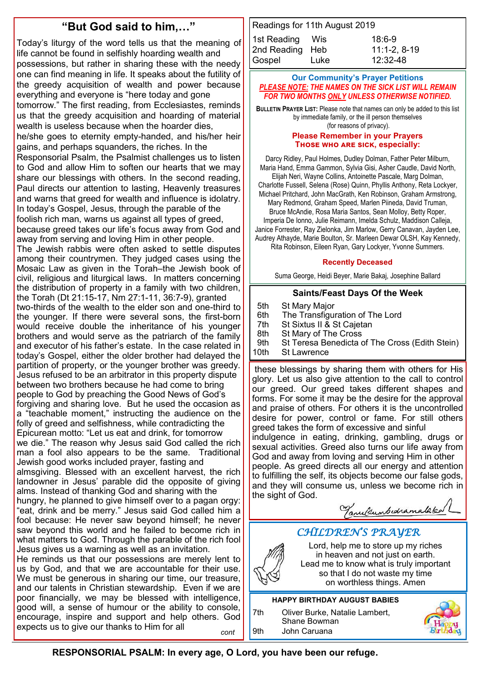# **"But God said to him,…"**

Today's liturgy of the word tells us that the meaning of life cannot be found in selfishly hoarding wealth and possessions, but rather in sharing these with the needy one can find meaning in life. It speaks about the futility of the greedy acquisition of wealth and power because everything and everyone is "here today and gone tomorrow." The first reading, from Ecclesiastes, reminds us that the greedy acquisition and hoarding of material wealth is useless because when the hoarder dies, he/she goes to eternity empty-handed, and his/her heir gains, and perhaps squanders, the riches. In the Responsorial Psalm, the Psalmist challenges us to listen to God and allow Him to soften our hearts that we may share our blessings with others. In the second reading, Paul directs our attention to lasting, Heavenly treasures and warns that greed for wealth and influence is idolatry. In today's Gospel, Jesus, through the parable of the foolish rich man, warns us against all types of greed, because greed takes our life's focus away from God and away from serving and loving Him in other people. The Jewish rabbis were often asked to settle disputes among their countrymen. They judged cases using the Mosaic Law as given in the Torah–the Jewish book of civil, religious and liturgical laws. In matters concerning the distribution of property in a family with two children, the Torah (Dt 21:15-17, Nm 27:1-11, 36:7-9), granted two-thirds of the wealth to the elder son and one-third to the younger. If there were several sons, the first-born would receive double the inheritance of his younger brothers and would serve as the patriarch of the family and executor of his father's estate. In the case related in today's Gospel, either the older brother had delayed the partition of property, or the younger brother was greedy. Jesus refused to be an arbitrator in this property dispute between two brothers because he had come to bring people to God by preaching the Good News of God's forgiving and sharing love. But he used the occasion as a "teachable moment," instructing the audience on the folly of greed and selfishness, while contradicting the Epicurean motto: "Let us eat and drink, for tomorrow we die." The reason why Jesus said God called the rich man a fool also appears to be the same. Traditional Jewish good works included prayer, fasting and almsgiving. Blessed with an excellent harvest, the rich landowner in Jesus' parable did the opposite of giving alms. Instead of thanking God and sharing with the hungry, he planned to give himself over to a pagan orgy: "eat, drink and be merry." Jesus said God called him a fool because: He never saw beyond himself; he never saw beyond this world and he failed to become rich in what matters to God. Through the parable of the rich fool Jesus gives us a warning as well as an invitation. He reminds us that our possessions are merely lent to us by God, and that we are accountable for their use. We must be generous in sharing our time, our treasure,

and our talents in Christian stewardship. Even if we are poor financially, we may be blessed with intelligence, good will, a sense of humour or the ability to console, encourage, inspire and support and help others. God expects us to give our thanks to Him for all *cont*

| Readings for 11th August 2019 |      |                |  |  |  |  |  |
|-------------------------------|------|----------------|--|--|--|--|--|
| 1st Reading Wis               |      | $18:6-9$       |  |  |  |  |  |
| 2nd Reading Heb               |      | $11:1-2, 8-19$ |  |  |  |  |  |
| Gospel                        | Luke | 12:32-48       |  |  |  |  |  |

#### **Our Community's Prayer Petitions**  *PLEASE NOTE: THE NAMES ON THE SICK LIST WILL REMAIN FOR TWO MONTHS ONLY UNLESS OTHERWISE NOTIFIED.*

**BULLETIN PRAYER LIST:** Please note that names can only be added to this list by immediate family, or the ill person themselves (for reasons of privacy).

#### **Please Remember in your Prayers Those who are sick, especially:**

Darcy Ridley, Paul Holmes, Dudley Dolman, Father Peter Milburn, Maria Hand, Emma Gammon, Sylvia Gisi, Asher Caudle, David North, Elijah Neri, Wayne Collins, Antoinette Pascale, Marg Dolman, Charlotte Fussell, Selena (Rose) Quinn, Phyllis Anthony, Reta Lockyer, Michael Pritchard, John MacGrath, Ken Robinson, Graham Armstrong, Mary Redmond, Graham Speed, Marlen Piineda, David Truman, Bruce McAndie, Rosa Maria Santos, Sean Molloy, Betty Roper, Imperia De Ionno, Julie Reimann, Imelda Schulz, Maddison Calleja, Janice Forrester, Ray Zielonka, Jim Marlow, Gerry Canavan, Jayden Lee, Audrey Athayde, Marie Boulton, Sr. Marleen Dewar OLSH, Kay Kennedy, Rita Robinson, Eileen Ryan, Gary Lockyer, Yvonne Summers.

#### **Recently Deceased**

Suma George, Heidi Beyer, Marie Bakaj, Josephine Ballard

#### **Saints/Feast Days Of the Week**

 5th St Mary Major 6th The Transfiguration of The Lord 7th St Sixtus II & St Cajetan 8th St Mary of The Cross 9th St Teresa Benedicta of The Cross (Edith Stein) 10th St Lawrence

these blessings by sharing them with others for His glory. Let us also give attention to the call to control our greed. Our greed takes different shapes and forms. For some it may be the desire for the approval and praise of others. For others it is the uncontrolled desire for power, control or fame. For still others greed takes the form of excessive and sinful indulgence in eating, drinking, gambling, drugs or sexual activities. Greed also turns our life away from God and away from loving and serving Him in other people. As greed directs all our energy and attention to fulfilling the self, its objects become our false gods, and they will consume us, unless we become rich in the sight of God.

Tanultumbedramataked

# *CHILDREN'S PRAYER*



Lord, help me to store up my riches in heaven and not just on earth. Lead me to know what is truly important so that I do not waste my time on worthless things. Amen

## **HAPPY BIRTHDAY AUGUST BABIES**

7th Oliver Burke, Natalie Lambert, Shane Bowman 9th John Caruana



 **RESPONSORIAL PSALM: In every age, O Lord, you have been our refuge.**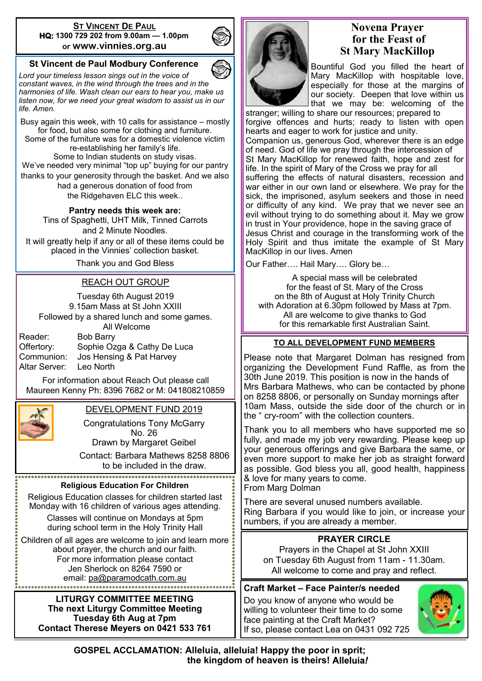#### **ST VINCENT DE PAUL HQ: 1300 729 202 from 9.00am — 1.00pm or www.vinnies.org.au**

## **St Vincent de Paul Modbury Conference**

*Lord your timeless lesson sings out in the voice of constant waves, in the wind through the trees and in the harmonies of life. Wash clean our ears to hear you, make us listen now, for we need your great wisdom to assist us in our life. Amen.*

Busy again this week, with 10 calls for assistance – mostly for food, but also some for clothing and furniture. Some of the furniture was for a domestic violence victim re-establishing her family's life. Some to Indian students on study visas. We've needed very minimal "top up" buying for our pantry thanks to your generosity through the basket. And we also had a generous donation of food from the Ridgehaven ELC this week..

**Pantry needs this week are:** 

Tins of Spaghetti, UHT Milk, Tinned Carrots and 2 Minute Noodles. It will greatly help if any or all of these items could be

placed in the Vinnies' collection basket.

Thank you and God Bless

### REACH OUT GROUP

Tuesday 6th August 2019 9.15am Mass at St John XXIII Followed by a shared lunch and some games. All Welcome

Reader: Bob Barry

Offertory: Sophie Ozga & Cathy De Luca Communion: Jos Hensing & Pat Harvey Altar Server: Leo North

For information about Reach Out please call Maureen Kenny Ph: 8396 7682 or M: 041808210859



#### DEVELOPMENT FUND 2019

Congratulations Tony McGarry No. 26

Drawn by Margaret Geibel

Contact: Barbara Mathews 8258 8806 to be included in the draw.

#### **Religious Education For Children**

Religious Education classes for children started last Monday with 16 children of various ages attending. Classes will continue on Mondays at 5pm

during school term in the Holy Trinity Hall

Children of all ages are welcome to join and learn more about prayer, the church and our faith. For more information please contact Jen Sherlock on 8264 7590 or email: [pa@paramodcath.com.au](mailto:pa@paramodcath.com.au)

> **LITURGY COMMITTEE MEETING The next Liturgy Committee Meeting Tuesday 6th Aug at 7pm Contact Therese Meyers on 0421 533 761**



# **Novena Prayer for the Feast of St Mary MacKillop**

Bountiful God you filled the heart of Mary MacKillop with hospitable love, especially for those at the margins of our society. Deepen that love within us that we may be: welcoming of the

stranger; willing to share our resources; prepared to forgive offences and hurts; ready to listen with open hearts and eager to work for justice and unity. Companion us, generous God, wherever there is an edge of need. God of life we pray through the intercession of St Mary MacKillop for renewed faith, hope and zest for life. In the spirit of Mary of the Cross we pray for all suffering the effects of natural disasters, recession and war either in our own land or elsewhere. We pray for the sick, the imprisoned, asylum seekers and those in need or difficulty of any kind. We pray that we never see an evil without trying to do something about it. May we grow in trust in Your providence, hope in the saving grace of Jesus Christ and courage in the transforming work of the Holy Spirit and thus imitate the example of St Mary MacKillop in our lives. Amen

Our Father…. Hail Mary…. Glory be…

A special mass will be celebrated for the feast of St. Mary of the Cross on the 8th of August at Holy Trinity Church with Adoration at 6.30pm followed by Mass at 7pm. All are welcome to give thanks to God for this remarkable first Australian Saint.

#### **TO ALL DEVELOPMENT FUND MEMBERS**

Please note that Margaret Dolman has resigned from organizing the Development Fund Raffle, as from the 30th June 2019. This position is now in the hands of Mrs Barbara Mathews, who can be contacted by phone on 8258 8806, or personally on Sunday mornings after 10am Mass, outside the side door of the church or in the " cry-room" with the collection counters.

Thank you to all members who have supported me so fully, and made my job very rewarding. Please keep up your generous offerings and give Barbara the same, or even more support to make her job as straight forward as possible. God bless you all, good health, happiness & love for many years to come. From Marg Dolman

There are several unused numbers available. Ring Barbara if you would like to join, or increase your numbers, if you are already a member.

## **PRAYER CIRCLE**

Prayers in the Chapel at St John XXIII on Tuesday 6th August from 11am - 11.30am. All welcome to come and pray and reflect.

#### **Craft Market – Face Painter/s needed**

Do you know of anyone who would be willing to volunteer their time to do some face painting at the Craft Market? If so, please contact Lea on 0431 092 725